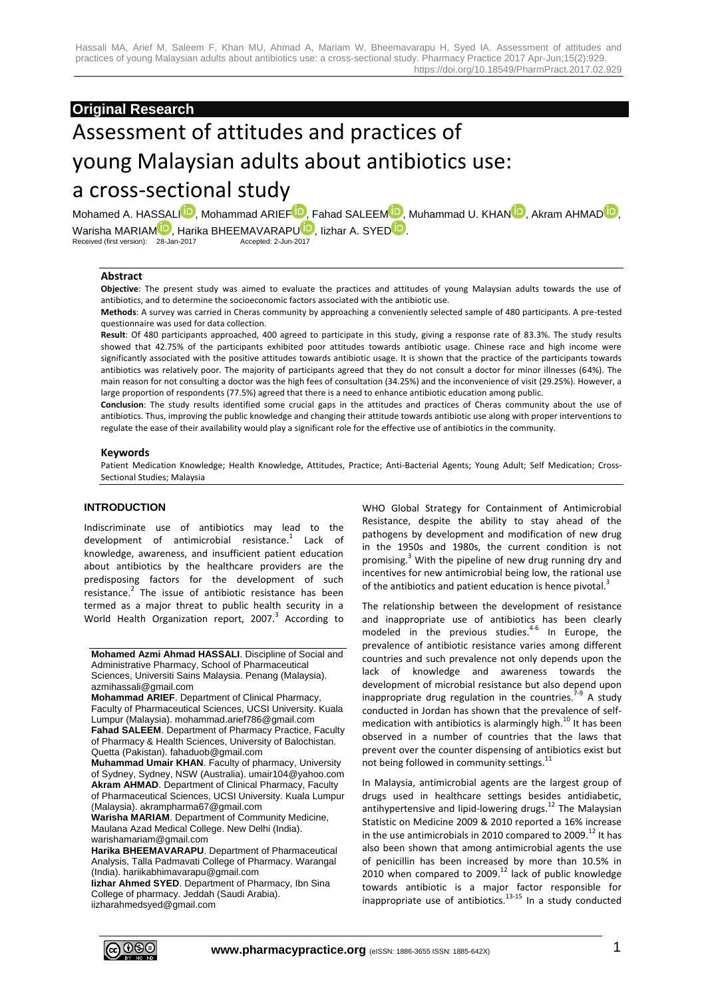# **Original Research**

# Assessment of attitudes and practices of young Malaysian adults about antibiotics use: a cross-sectional study

Mohamed A. HASSA[LI](http://orcid.org/0000-0001-8269-885X)<sup>D</sup>, Mohammad ARIE[F](http://orcid.org/0000-0001-6176-4619)<sup>D</sup>[,](http://orcid.org/0000-0001-8100-8992) Fahad SALEEM<sup>D</sup>[,](http://orcid.org/0000-0002-9998-5860) Muhammad U. KHAN<sup>D</sup>, Akram AHMAD<sup>D</sup>, Warisha [M](http://orcid.org/0000-0002-6480-3027)ARIAM **[D](http://orcid.org/0000-0002-6823-2356)**, Harika BHEEMAVARAP[U](http://orcid.org/0000-0002-3381-5658) **D**, Iizhar A. SYED<sup>(D</sup>). Received (first version): 28-Jan-2017 Received (first version): 28-Jan-2017

#### **Abstract**

**Objective**: The present study was aimed to evaluate the practices and attitudes of young Malaysian adults towards the use of antibiotics, and to determine the socioeconomic factors associated with the antibiotic use.

**Methods**: A survey was carried in Cheras community by approaching a conveniently selected sample of 480 participants. A pre-tested questionnaire was used for data collection.

**Result**: Of 480 participants approached, 400 agreed to participate in this study, giving a response rate of 83.3%. The study results showed that 42.75% of the participants exhibited poor attitudes towards antibiotic usage. Chinese race and high income were significantly associated with the positive attitudes towards antibiotic usage. It is shown that the practice of the participants towards antibiotics was relatively poor. The majority of participants agreed that they do not consult a doctor for minor illnesses (64%). The main reason for not consulting a doctor was the high fees of consultation (34.25%) and the inconvenience of visit (29.25%). However, a large proportion of respondents (77.5%) agreed that there is a need to enhance antibiotic education among public.

**Conclusion**: The study results identified some crucial gaps in the attitudes and practices of Cheras community about the use of antibiotics. Thus, improving the public knowledge and changing their attitude towards antibiotic use along with proper interventions to regulate the ease of their availability would play a significant role for the effective use of antibiotics in the community.

#### **Keywords**

Patient Medication Knowledge; Health Knowledge, Attitudes, Practice; Anti-Bacterial Agents; Young Adult; Self Medication; Cross-Sectional Studies; Malaysia

#### **INTRODUCTION**

Indiscriminate use of antibiotics may lead to the development of antimicrobial resistance.<sup>1</sup> Lack of knowledge, awareness, and insufficient patient education about antibiotics by the healthcare providers are the predisposing factors for the development of such resistance.<sup>2</sup> The issue of antibiotic resistance has been termed as a major threat to public health security in a World Health Organization report, 2007.<sup>3</sup> According to

**Mohamed Azmi Ahmad HASSALI**. Discipline of Social and Administrative Pharmacy, School of Pharmaceutical Sciences, Universiti Sains Malaysia. Penang (Malaysia). azmihassali@gmail.com

**Mohammad ARIEF**. Department of Clinical Pharmacy, Faculty of Pharmaceutical Sciences, UCSI University. Kuala Lumpur (Malaysia). mohammad.arief786@gmail.com **Fahad SALEEM**. Department of Pharmacy Practice, Faculty of Pharmacy & Health Sciences, University of Balochistan. Quetta (Pakistan). fahaduob@gmail.com

**Muhammad Umair KHAN**. Faculty of pharmacy, University of Sydney, Sydney, NSW (Australia). umair104@yahoo.com **Akram AHMAD**. Department of Clinical Pharmacy, Faculty of Pharmaceutical Sciences, UCSI University. Kuala Lumpur (Malaysia). akrampharma67@gmail.com

**Warisha MARIAM**. Department of Community Medicine, Maulana Azad Medical College. New Delhi (India). warishamariam@gmail.com

**Harika BHEEMAVARAPU**. Department of Pharmaceutical Analysis, Talla Padmavati College of Pharmacy. Warangal (India). hariikabhimavarapu@gmail.com

**Iizhar Ahmed SYED**. Department of Pharmacy, Ibn Sina College of pharmacy. Jeddah (Saudi Arabia). iizharahmedsyed@gmail.com

WHO Global Strategy for Containment of Antimicrobial Resistance, despite the ability to stay ahead of the pathogens by development and modification of new drug in the 1950s and 1980s, the current condition is not promising. <sup>3</sup> With the pipeline of new drug running dry and incentives for new antimicrobial being low, the rational use of the antibiotics and patient education is hence pivotal.<sup>3</sup>

The relationship between the development of resistance and inappropriate use of antibiotics has been clearly modeled in the previous studies.<sup>4-6</sup> In Europe, the prevalence of antibiotic resistance varies among different countries and such prevalence not only depends upon the lack of knowledge and awareness towards the development of microbial resistance but also depend upon inappropriate drug regulation in the countries.<sup>7-9</sup> A study conducted in Jordan has shown that the prevalence of selfmedication with antibiotics is alarmingly high.<sup>10</sup> It has been observed in a number of countries that the laws that prevent over the counter dispensing of antibiotics exist but not being followed in community settings.<sup>11</sup>

In Malaysia, antimicrobial agents are the largest group of drugs used in healthcare settings besides antidiabetic, antihypertensive and lipid-lowering drugs.<sup>12</sup> The Malaysian Statistic on Medicine 2009 & 2010 reported a 16% increase in the use antimicrobials in 2010 compared to 2009.<sup>12</sup> It has also been shown that among antimicrobial agents the use of penicillin has been increased by more than 10.5% in 2010 when compared to 2009. <sup>12</sup> lack of public knowledge towards antibiotic is a major factor responsible for inappropriate use of antibiotics. $13-15$  In a study conducted

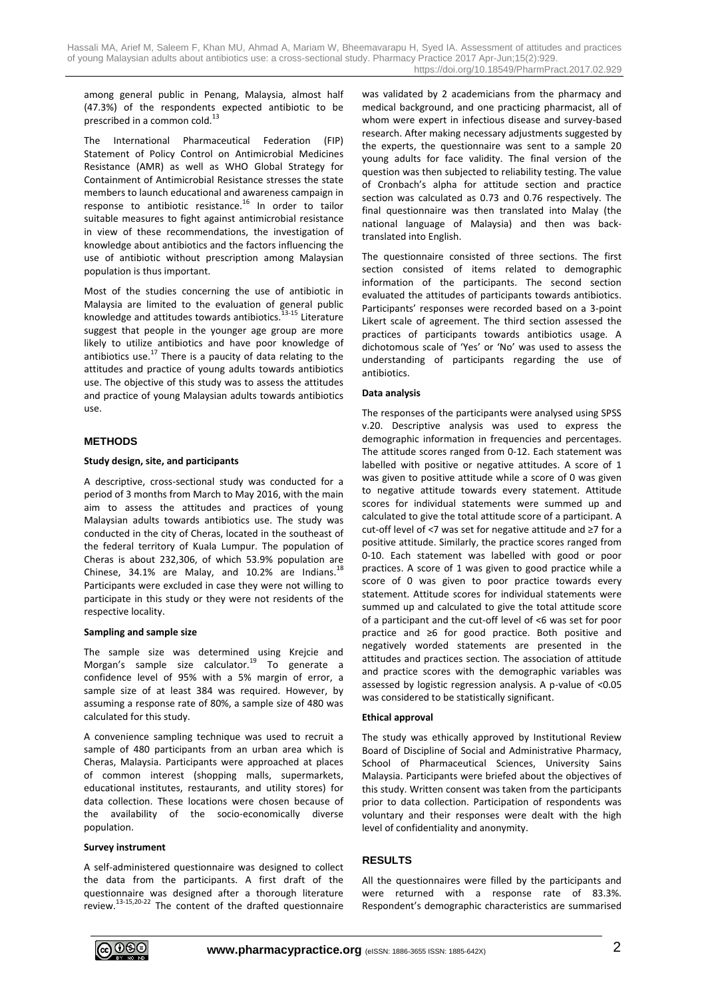among general public in Penang, Malaysia, almost half (47.3%) of the respondents expected antibiotic to be prescribed in a common cold.

The International Pharmaceutical Federation (FIP) Statement of Policy Control on Antimicrobial Medicines Resistance (AMR) as well as WHO Global Strategy for Containment of Antimicrobial Resistance stresses the state members to launch educational and awareness campaign in response to antibiotic resistance.<sup>16</sup> In order to tailor suitable measures to fight against antimicrobial resistance in view of these recommendations, the investigation of knowledge about antibiotics and the factors influencing the use of antibiotic without prescription among Malaysian population is thus important.

Most of the studies concerning the use of antibiotic in Malaysia are limited to the evaluation of general public knowledge and attitudes towards antibiotics.<sup>13-15</sup> Literature suggest that people in the younger age group are more likely to utilize antibiotics and have poor knowledge of antibiotics use. $^{17}$  There is a paucity of data relating to the attitudes and practice of young adults towards antibiotics use. The objective of this study was to assess the attitudes and practice of young Malaysian adults towards antibiotics use.

#### **METHODS**

#### **Study design, site, and participants**

A descriptive, cross-sectional study was conducted for a period of 3 months from March to May 2016, with the main aim to assess the attitudes and practices of young Malaysian adults towards antibiotics use. The study was conducted in the city of Cheras, located in the southeast of the federal territory of Kuala Lumpur. The population of Cheras is about 232,306, of which 53.9% population are Chinese, 34.1% are Malay, and 10.2% are Indians. $^{18}$ Participants were excluded in case they were not willing to participate in this study or they were not residents of the respective locality.

#### **Sampling and sample size**

The sample size was determined using Krejcie and Morgan's sample size calculator.<sup>19</sup> To generate a confidence level of 95% with a 5% margin of error, a sample size of at least 384 was required. However, by assuming a response rate of 80%, a sample size of 480 was calculated for this study.

A convenience sampling technique was used to recruit a sample of 480 participants from an urban area which is Cheras, Malaysia. Participants were approached at places of common interest (shopping malls, supermarkets, educational institutes, restaurants, and utility stores) for data collection. These locations were chosen because of the availability of the socio-economically diverse population.

#### **Survey instrument**

A self-administered questionnaire was designed to collect the data from the participants. A first draft of the questionnaire was designed after a thorough literature review.<sup>13-15,20-22</sup> The content of the drafted questionnaire was validated by 2 academicians from the pharmacy and medical background, and one practicing pharmacist, all of whom were expert in infectious disease and survey-based research. After making necessary adjustments suggested by the experts, the questionnaire was sent to a sample 20 young adults for face validity. The final version of the question was then subjected to reliability testing. The value of Cronbach's alpha for attitude section and practice section was calculated as 0.73 and 0.76 respectively. The final questionnaire was then translated into Malay (the national language of Malaysia) and then was backtranslated into English.

The questionnaire consisted of three sections. The first section consisted of items related to demographic information of the participants. The second section evaluated the attitudes of participants towards antibiotics. Participants' responses were recorded based on a 3-point Likert scale of agreement. The third section assessed the practices of participants towards antibiotics usage. A dichotomous scale of 'Yes' or 'No' was used to assess the understanding of participants regarding the use of antibiotics.

#### **Data analysis**

The responses of the participants were analysed using SPSS v.20. Descriptive analysis was used to express the demographic information in frequencies and percentages. The attitude scores ranged from 0-12. Each statement was labelled with positive or negative attitudes. A score of 1 was given to positive attitude while a score of 0 was given to negative attitude towards every statement. Attitude scores for individual statements were summed up and calculated to give the total attitude score of a participant. A cut-off level of <7 was set for negative attitude and ≥7 for a positive attitude. Similarly, the practice scores ranged from 0-10. Each statement was labelled with good or poor practices. A score of 1 was given to good practice while a score of 0 was given to poor practice towards every statement. Attitude scores for individual statements were summed up and calculated to give the total attitude score of a participant and the cut-off level of <6 was set for poor practice and ≥6 for good practice. Both positive and negatively worded statements are presented in the attitudes and practices section. The association of attitude and practice scores with the demographic variables was assessed by logistic regression analysis. A p-value of <0.05 was considered to be statistically significant.

#### **Ethical approval**

The study was ethically approved by Institutional Review Board of Discipline of Social and Administrative Pharmacy, School of Pharmaceutical Sciences, University Sains Malaysia. Participants were briefed about the objectives of this study. Written consent was taken from the participants prior to data collection. Participation of respondents was voluntary and their responses were dealt with the high level of confidentiality and anonymity.

# **RESULTS**

All the questionnaires were filled by the participants and were returned with a response rate of 83.3%. Respondent's demographic characteristics are summarised

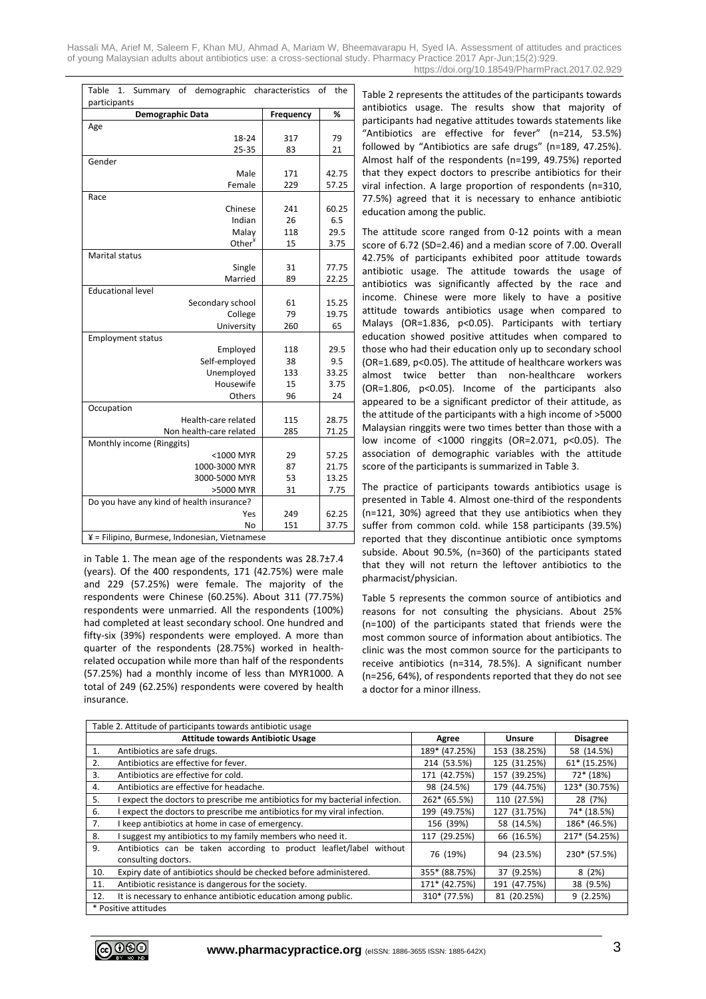Hassali MA, Arief M, Saleem F, Khan MU, Ahmad A, Mariam W, Bheemavarapu H, Syed IA. Assessment of attitudes and practices of young Malaysian adults about antibiotics use: a cross-sectional study. Pharmacy Practice 2017 Apr-Jun;15(2):929. https://doi.org/10.18549/PharmPract.2017.02.929

| Table<br>Summary of demographic characteristics<br>1.<br>of<br>the |           |              |  |  |
|--------------------------------------------------------------------|-----------|--------------|--|--|
| participants                                                       |           |              |  |  |
| Demographic Data                                                   | Frequency | %            |  |  |
| Age                                                                |           |              |  |  |
| 18-24                                                              | 317       | 79           |  |  |
| 25-35                                                              | 83        | 21           |  |  |
| Gender                                                             |           |              |  |  |
| Male                                                               | 171       | 42.75        |  |  |
| Female                                                             | 229       | 57.25        |  |  |
| Race                                                               |           |              |  |  |
| Chinese                                                            | 241       | 60.25        |  |  |
| Indian                                                             | 26        | 6.5          |  |  |
| Malay                                                              | 118       | 29.5         |  |  |
| Other <sup>¥</sup>                                                 | 15        | 3.75         |  |  |
| Marital status                                                     |           |              |  |  |
| Single                                                             | 31        | 77.75        |  |  |
| Married                                                            | 89        | 22.25        |  |  |
| <b>Educational level</b>                                           |           |              |  |  |
| Secondary school                                                   | 61        | 15.25        |  |  |
| College                                                            | 79        | 19.75        |  |  |
| University                                                         | 260       | 65           |  |  |
| <b>Employment status</b>                                           |           |              |  |  |
| Employed                                                           | 118       | 29.5         |  |  |
| Self-employed<br>Unemployed                                        | 38<br>133 | 9.5<br>33.25 |  |  |
| Housewife                                                          | 15        | 3.75         |  |  |
| Others                                                             | 96        | 24           |  |  |
| Occupation                                                         |           |              |  |  |
| Health-care related                                                | 115       | 28.75        |  |  |
| Non health-care related                                            | 285       | 71.25        |  |  |
| Monthly income (Ringgits)                                          |           |              |  |  |
| <1000 MYR                                                          | 29        | 57.25        |  |  |
| 1000-3000 MYR                                                      | 87        | 21.75        |  |  |
| 3000-5000 MYR                                                      | 53        | 13.25        |  |  |
| >5000 MYR                                                          | 31        | 7.75         |  |  |
| Do you have any kind of health insurance?                          |           |              |  |  |
| Yes                                                                | 249       | 62.25        |  |  |
| No                                                                 | 151       | 37.75        |  |  |
| ¥ = Filipino, Burmese, Indonesian, Vietnamese                      |           |              |  |  |
|                                                                    |           |              |  |  |

in Table 1. The mean age of the respondents was 28.7±7.4 (years). Of the 400 respondents, 171 (42.75%) were male and 229 (57.25%) were female. The majority of the respondents were Chinese (60.25%). About 311 (77.75%) respondents were unmarried. All the respondents (100%) had completed at least secondary school. One hundred and fifty-six (39%) respondents were employed. A more than quarter of the respondents (28.75%) worked in healthrelated occupation while more than half of the respondents (57.25%) had a monthly income of less than MYR1000. A total of 249 (62.25%) respondents were covered by health insurance.

Table 2 represents the attitudes of the participants towards antibiotics usage. The results show that majority of participants had negative attitudes towards statements like "Antibiotics are effective for fever" (n=214, 53.5%) followed by "Antibiotics are safe drugs" (n=189, 47.25%). Almost half of the respondents (n=199, 49.75%) reported that they expect doctors to prescribe antibiotics for their viral infection. A large proportion of respondents (n=310, 77.5%) agreed that it is necessary to enhance antibiotic education among the public.

The attitude score ranged from 0-12 points with a mean score of 6.72 (SD=2.46) and a median score of 7.00. Overall 42.75% of participants exhibited poor attitude towards antibiotic usage. The attitude towards the usage of antibiotics was significantly affected by the race and income. Chinese were more likely to have a positive attitude towards antibiotics usage when compared to Malays (OR=1.836, p<0.05). Participants with tertiary education showed positive attitudes when compared to those who had their education only up to secondary school (OR=1.689, p<0.05). The attitude of healthcare workers was almost twice better than non-healthcare workers (OR=1.806, p<0.05). Income of the participants also appeared to be a significant predictor of their attitude, as the attitude of the participants with a high income of >5000 Malaysian ringgits were two times better than those with a low income of <1000 ringgits (OR=2.071, p<0.05). The association of demographic variables with the attitude score of the participants is summarized in Table 3.

The practice of participants towards antibiotics usage is presented in Table 4. Almost one-third of the respondents (n=121, 30%) agreed that they use antibiotics when they suffer from common cold. while 158 participants (39.5%) reported that they discontinue antibiotic once symptoms subside. About 90.5%, (n=360) of the participants stated that they will not return the leftover antibiotics to the pharmacist/physician.

Table 5 represents the common source of antibiotics and reasons for not consulting the physicians. About 25% (n=100) of the participants stated that friends were the most common source of information about antibiotics. The clinic was the most common source for the participants to receive antibiotics (n=314, 78.5%). A significant number (n=256, 64%), of respondents reported that they do not see a doctor for a minor illness.

| Table 2. Attitude of participants towards antibiotic usage |                                                                                            |               |               |                 |  |
|------------------------------------------------------------|--------------------------------------------------------------------------------------------|---------------|---------------|-----------------|--|
|                                                            | <b>Attitude towards Antibiotic Usage</b>                                                   | Agree         | <b>Unsure</b> | <b>Disagree</b> |  |
| 1.                                                         | Antibiotics are safe drugs.                                                                | 189* (47.25%) | 153 (38.25%)  | 58 (14.5%)      |  |
| 2.                                                         | Antibiotics are effective for fever.                                                       | 214 (53.5%)   | 125 (31.25%)  | 61* (15.25%)    |  |
| 3.                                                         | Antibiotics are effective for cold.                                                        | 171 (42.75%)  | 157 (39.25%)  | $72*(18%)$      |  |
| 4.                                                         | Antibiotics are effective for headache.                                                    | 98 (24.5%)    | 179 (44.75%)  | 123* (30.75%)   |  |
| 5.                                                         | I expect the doctors to prescribe me antibiotics for my bacterial infection.               | 262* (65.5%)  | 110 (27.5%)   | 28 (7%)         |  |
| 6.                                                         | expect the doctors to prescribe me antibiotics for my viral infection.                     | 199 (49.75%)  | 127 (31.75%)  | 74* (18.5%)     |  |
| 7.                                                         | I keep antibiotics at home in case of emergency.                                           | 156 (39%)     | 58 (14.5%)    | 186* (46.5%)    |  |
| 8.                                                         | I suggest my antibiotics to my family members who need it.                                 | 117 (29.25%)  | 66 (16.5%)    | 217* (54.25%)   |  |
| 9.                                                         | Antibiotics can be taken according to product leaflet/label without<br>consulting doctors. | 76 (19%)      | 94 (23.5%)    | 230* (57.5%)    |  |
| 10.                                                        | Expiry date of antibiotics should be checked before administered.                          | 355* (88.75%) | 37 (9.25%)    | 8(2%)           |  |
| 11.                                                        | Antibiotic resistance is dangerous for the society.                                        | 171* (42.75%) | 191 (47.75%)  | 38 (9.5%)       |  |
| 12.                                                        | It is necessary to enhance antibiotic education among public.                              | 310* (77.5%)  | 81 (20.25%)   | 9(2.25%)        |  |
| * Positive attitudes                                       |                                                                                            |               |               |                 |  |

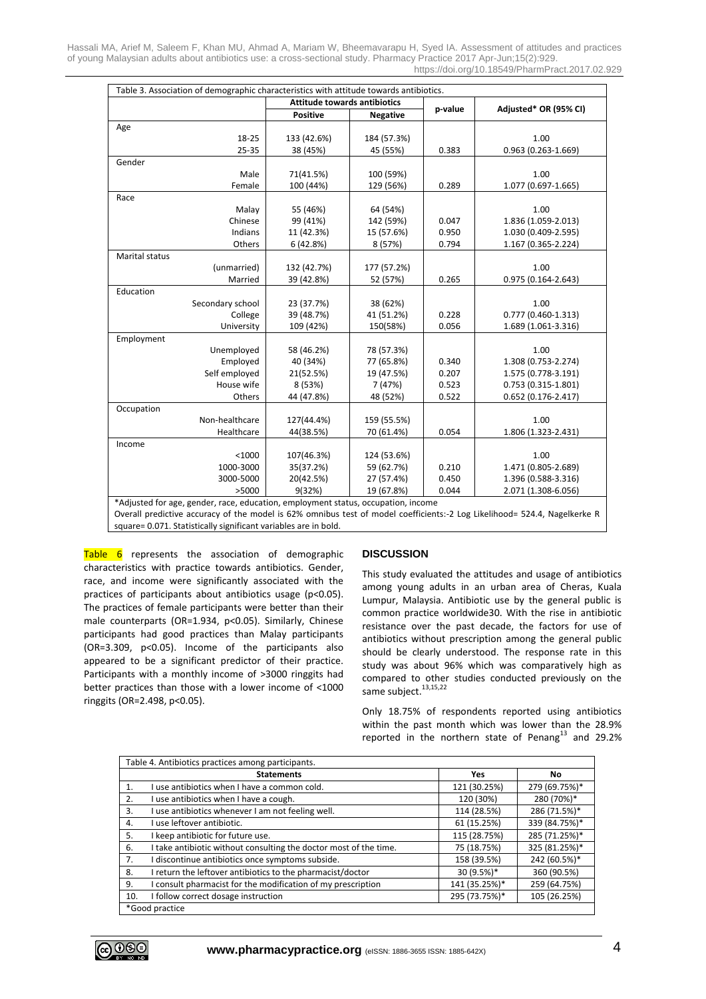Hassali MA, Arief M, Saleem F, Khan MU, Ahmad A, Mariam W, Bheemavarapu H, Syed IA. Assessment of attitudes and practices of young Malaysian adults about antibiotics use: a cross-sectional study. Pharmacy Practice 2017 Apr-Jun;15(2):929. https://doi.org/10.18549/PharmPract.2017.02.929

|                  |                | <b>Attitude towards antibiotics</b> |                 |         |                        |  |
|------------------|----------------|-------------------------------------|-----------------|---------|------------------------|--|
|                  |                | <b>Positive</b>                     | <b>Negative</b> | p-value | Adjusted* OR (95% CI)  |  |
| Age              |                |                                     |                 |         |                        |  |
|                  | 18-25          | 133 (42.6%)                         | 184 (57.3%)     |         | 1.00                   |  |
|                  | 25-35          | 38 (45%)                            | 45 (55%)        | 0.383   | $0.963(0.263 - 1.669)$ |  |
| Gender           |                |                                     |                 |         |                        |  |
|                  | Male           | 71(41.5%)                           | 100 (59%)       |         | 1.00                   |  |
|                  | Female         | 100 (44%)                           | 129 (56%)       | 0.289   | 1.077 (0.697-1.665)    |  |
| Race             |                |                                     |                 |         |                        |  |
|                  | Malay          | 55 (46%)                            | 64 (54%)        |         | 1.00                   |  |
|                  | Chinese        | 99 (41%)                            | 142 (59%)       | 0.047   | 1.836 (1.059-2.013)    |  |
|                  | Indians        | 11 (42.3%)                          | 15 (57.6%)      | 0.950   | 1.030 (0.409-2.595)    |  |
|                  | Others         | 6(42.8%)                            | 8 (57%)         | 0.794   | 1.167 (0.365-2.224)    |  |
| Marital status   |                |                                     |                 |         |                        |  |
|                  | (unmarried)    | 132 (42.7%)                         | 177 (57.2%)     |         | 1.00                   |  |
|                  | Married        | 39 (42.8%)                          | 52 (57%)        | 0.265   | $0.975(0.164 - 2.643)$ |  |
| Education        |                |                                     |                 |         |                        |  |
| Secondary school |                | 23 (37.7%)                          | 38 (62%)        |         | 1.00                   |  |
|                  | College        | 39 (48.7%)                          | 41 (51.2%)      | 0.228   | $0.777(0.460-1.313)$   |  |
|                  | University     | 109 (42%)                           | 150(58%)        | 0.056   | 1.689 (1.061-3.316)    |  |
| Employment       |                |                                     |                 |         |                        |  |
|                  | Unemployed     | 58 (46.2%)                          | 78 (57.3%)      |         | 1.00                   |  |
|                  | Employed       | 40 (34%)                            | 77 (65.8%)      | 0.340   | 1.308 (0.753-2.274)    |  |
|                  | Self employed  | 21(52.5%)                           | 19 (47.5%)      | 0.207   | 1.575 (0.778-3.191)    |  |
|                  | House wife     | 8 (53%)                             | 7 (47%)         | 0.523   | $0.753(0.315 - 1.801)$ |  |
|                  | Others         | 44 (47.8%)                          | 48 (52%)        | 0.522   | $0.652(0.176-2.417)$   |  |
| Occupation       |                |                                     |                 |         |                        |  |
|                  | Non-healthcare | 127(44.4%)                          | 159 (55.5%)     |         | 1.00                   |  |
|                  | Healthcare     | 44(38.5%)                           | 70 (61.4%)      | 0.054   | 1.806 (1.323-2.431)    |  |
| Income           |                |                                     |                 |         |                        |  |
|                  | $<$ 1000       | 107(46.3%)                          | 124 (53.6%)     |         | 1.00                   |  |
|                  | 1000-3000      | 35(37.2%)                           | 59 (62.7%)      | 0.210   | 1.471 (0.805-2.689)    |  |
|                  | 3000-5000      | 20(42.5%)                           | 27 (57.4%)      | 0.450   | 1.396 (0.588-3.316)    |  |
|                  | >5000          | 9(32%)                              | 19 (67.8%)      | 0.044   | 2.071 (1.308-6.056)    |  |

\*Adjusted for age, gender, race, education, employment status, occupation, income

Overall predictive accuracy of the model is 62% omnibus test of model coefficients:-2 Log Likelihood= 524.4, Nagelkerke R square= 0.071. Statistically significant variables are in bold.

 $Table 6$  represents the association of demographic characteristics with practice towards antibiotics. Gender, race, and income were significantly associated with the practices of participants about antibiotics usage (p<0.05). The practices of female participants were better than their male counterparts (OR=1.934, p<0.05). Similarly, Chinese participants had good practices than Malay participants (OR=3.309, p<0.05). Income of the participants also appeared to be a significant predictor of their practice. Participants with a monthly income of >3000 ringgits had better practices than those with a lower income of <1000 ringgits (OR=2.498, p<0.05).

#### **DISCUSSION**

This study evaluated the attitudes and usage of antibiotics among young adults in an urban area of Cheras, Kuala Lumpur, Malaysia. Antibiotic use by the general public is common practice worldwide30. With the rise in antibiotic resistance over the past decade, the factors for use of antibiotics without prescription among the general public should be clearly understood. The response rate in this study was about 96% which was comparatively high as compared to other studies conducted previously on the same subject.<sup>13,15,22</sup>

Only 18.75% of respondents reported using antibiotics within the past month which was lower than the 28.9% reported in the northern state of Penang $^{13}$  and 29.2%

| Table 4. Antibiotics practices among participants. |                                                                   |               |               |  |  |
|----------------------------------------------------|-------------------------------------------------------------------|---------------|---------------|--|--|
|                                                    | <b>Statements</b>                                                 | <b>Yes</b>    | No.           |  |  |
| 1.                                                 | I use antibiotics when I have a common cold.                      | 121 (30.25%)  | 279 (69.75%)* |  |  |
| 2.                                                 | I use antibiotics when I have a cough.                            | 120 (30%)     | 280 (70%)*    |  |  |
| 3.                                                 | I use antibiotics whenever I am not feeling well.                 | 114 (28.5%)   | 286 (71.5%)*  |  |  |
| 4.                                                 | I use leftover antibiotic.                                        | 61 (15.25%)   | 339 (84.75%)* |  |  |
| 5.                                                 | I keep antibiotic for future use.                                 | 115 (28.75%)  | 285 (71.25%)* |  |  |
| 6.                                                 | I take antibiotic without consulting the doctor most of the time. | 75 (18.75%)   | 325 (81.25%)* |  |  |
| 7.                                                 | I discontinue antibiotics once symptoms subside.                  | 158 (39.5%)   | 242 (60.5%)*  |  |  |
| 8.                                                 | I return the leftover antibiotics to the pharmacist/doctor        | 30 (9.5%)*    | 360 (90.5%)   |  |  |
| 9.                                                 | I consult pharmacist for the modification of my prescription      | 141 (35.25%)* | 259 (64.75%)  |  |  |
| 10.                                                | I follow correct dosage instruction                               | 295 (73.75%)* | 105 (26.25%)  |  |  |
| *Good practice                                     |                                                                   |               |               |  |  |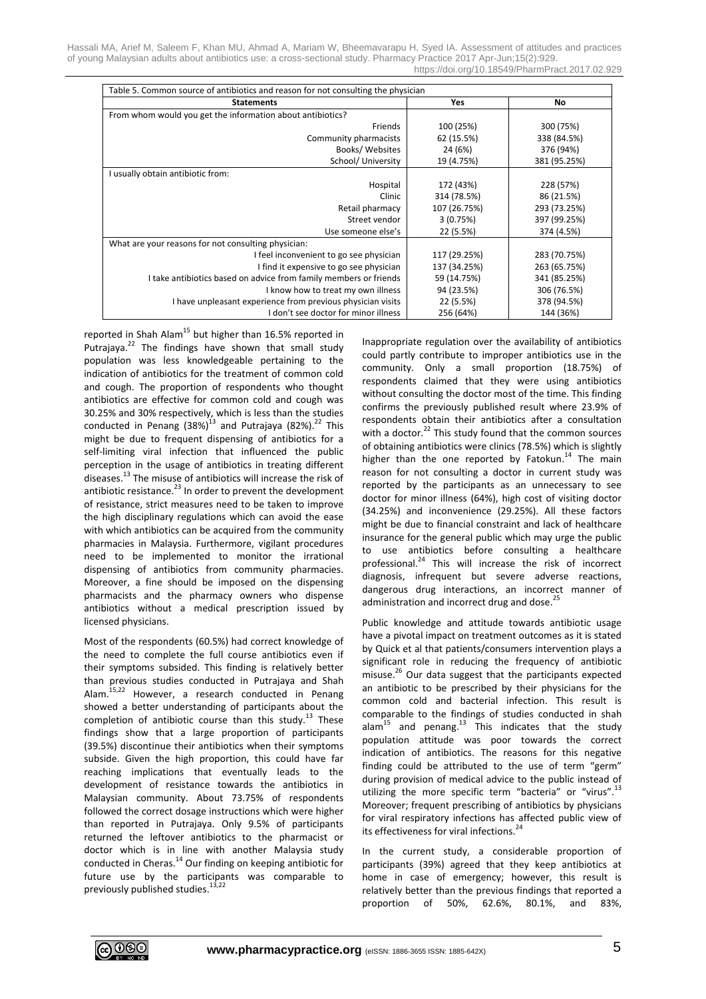Hassali MA, Arief M, Saleem F, Khan MU, Ahmad A, Mariam W, Bheemavarapu H, Syed IA. Assessment of attitudes and practices of young Malaysian adults about antibiotics use: a cross-sectional study. Pharmacy Practice 2017 Apr-Jun;15(2):929. https://doi.org/10.18549/PharmPract.2017.02.929

| Table 5. Common source of antibiotics and reason for not consulting the physician |              |              |  |
|-----------------------------------------------------------------------------------|--------------|--------------|--|
| <b>Statements</b>                                                                 | Yes          | No           |  |
| From whom would you get the information about antibiotics?                        |              |              |  |
| Friends                                                                           | 100 (25%)    | 300 (75%)    |  |
| Community pharmacists                                                             | 62 (15.5%)   | 338 (84.5%)  |  |
| Books/Websites                                                                    | 24 (6%)      | 376 (94%)    |  |
| School/ University                                                                | 19 (4.75%)   | 381 (95.25%) |  |
| I usually obtain antibiotic from:                                                 |              |              |  |
| Hospital                                                                          | 172 (43%)    | 228 (57%)    |  |
| Clinic                                                                            | 314 (78.5%)  | 86 (21.5%)   |  |
| Retail pharmacy                                                                   | 107 (26.75%) | 293 (73.25%) |  |
| Street vendor                                                                     | 3(0.75%)     | 397 (99.25%) |  |
| Use someone else's                                                                | 22 (5.5%)    | 374 (4.5%)   |  |
| What are your reasons for not consulting physician:                               |              |              |  |
| I feel inconvenient to go see physician                                           | 117 (29.25%) | 283 (70.75%) |  |
| I find it expensive to go see physician                                           | 137 (34.25%) | 263 (65.75%) |  |
| I take antibiotics based on advice from family members or friends                 | 59 (14.75%)  | 341 (85.25%) |  |
| I know how to treat my own illness                                                | 94 (23.5%)   | 306 (76.5%)  |  |
| I have unpleasant experience from previous physician visits                       | 22 (5.5%)    | 378 (94.5%)  |  |
| I don't see doctor for minor illness                                              | 256 (64%)    | 144 (36%)    |  |

reported in Shah Alam<sup>15</sup> but higher than 16.5% reported in Putrajaya.<sup>22</sup> The findings have shown that small study population was less knowledgeable pertaining to the indication of antibiotics for the treatment of common cold and cough. The proportion of respondents who thought antibiotics are effective for common cold and cough was 30.25% and 30% respectively, which is less than the studies conducted in Penang  $(38\%)^{13}$  and Putrajaya  $(82\%)^{22}$  This might be due to frequent dispensing of antibiotics for a self-limiting viral infection that influenced the public perception in the usage of antibiotics in treating different diseases.<sup>13</sup> The misuse of antibiotics will increase the risk of antibiotic resistance.<sup>23</sup> In order to prevent the development of resistance, strict measures need to be taken to improve the high disciplinary regulations which can avoid the ease with which antibiotics can be acquired from the community pharmacies in Malaysia. Furthermore, vigilant procedures need to be implemented to monitor the irrational dispensing of antibiotics from community pharmacies. Moreover, a fine should be imposed on the dispensing pharmacists and the pharmacy owners who dispense antibiotics without a medical prescription issued by licensed physicians.

Most of the respondents (60.5%) had correct knowledge of the need to complete the full course antibiotics even if their symptoms subsided. This finding is relatively better than previous studies conducted in Putrajaya and Shah Alam.<sup>15,22</sup> However, a research conducted in Penang showed a better understanding of participants about the completion of antibiotic course than this study.<sup>13</sup> These findings show that a large proportion of participants (39.5%) discontinue their antibiotics when their symptoms subside. Given the high proportion, this could have far reaching implications that eventually leads to the development of resistance towards the antibiotics in Malaysian community. About 73.75% of respondents followed the correct dosage instructions which were higher than reported in Putrajaya. Only 9.5% of participants returned the leftover antibiotics to the pharmacist or doctor which is in line with another Malaysia study conducted in Cheras.<sup>14</sup> Our finding on keeping antibiotic for future use by the participants was comparable to previously published studies.<sup>13,22</sup>

Inappropriate regulation over the availability of antibiotics could partly contribute to improper antibiotics use in the community. Only a small proportion (18.75%) of respondents claimed that they were using antibiotics without consulting the doctor most of the time. This finding confirms the previously published result where 23.9% of respondents obtain their antibiotics after a consultation with a doctor.<sup>22</sup> This study found that the common sources of obtaining antibiotics were clinics (78.5%) which is slightly higher than the one reported by Fatokun.<sup>14</sup> The main reason for not consulting a doctor in current study was reported by the participants as an unnecessary to see doctor for minor illness (64%), high cost of visiting doctor (34.25%) and inconvenience (29.25%). All these factors might be due to financial constraint and lack of healthcare insurance for the general public which may urge the public to use antibiotics before consulting a healthcare professional. 24 This will increase the risk of incorrect diagnosis, infrequent but severe adverse reactions, dangerous drug interactions, an incorrect manner of administration and incorrect drug and dose.<sup>25</sup>

Public knowledge and attitude towards antibiotic usage have a pivotal impact on treatment outcomes as it is stated by Quick et al that patients/consumers intervention plays a significant role in reducing the frequency of antibiotic misuse.<sup>26</sup> Our data suggest that the participants expected an antibiotic to be prescribed by their physicians for the common cold and bacterial infection. This result is comparable to the findings of studies conducted in shah alam<sup>15</sup> and penang.<sup>13</sup> This indicates that the study population attitude was poor towards the correct indication of antibiotics. The reasons for this negative finding could be attributed to the use of term "germ" during provision of medical advice to the public instead of utilizing the more specific term "bacteria" or "virus".<sup>13</sup> Moreover; frequent prescribing of antibiotics by physicians for viral respiratory infections has affected public view of its effectiveness for viral infections.<sup>24</sup>

In the current study, a considerable proportion of participants (39%) agreed that they keep antibiotics at home in case of emergency; however, this result is relatively better than the previous findings that reported a proportion of 50%, 62.6%, 80.1%, and 83%,

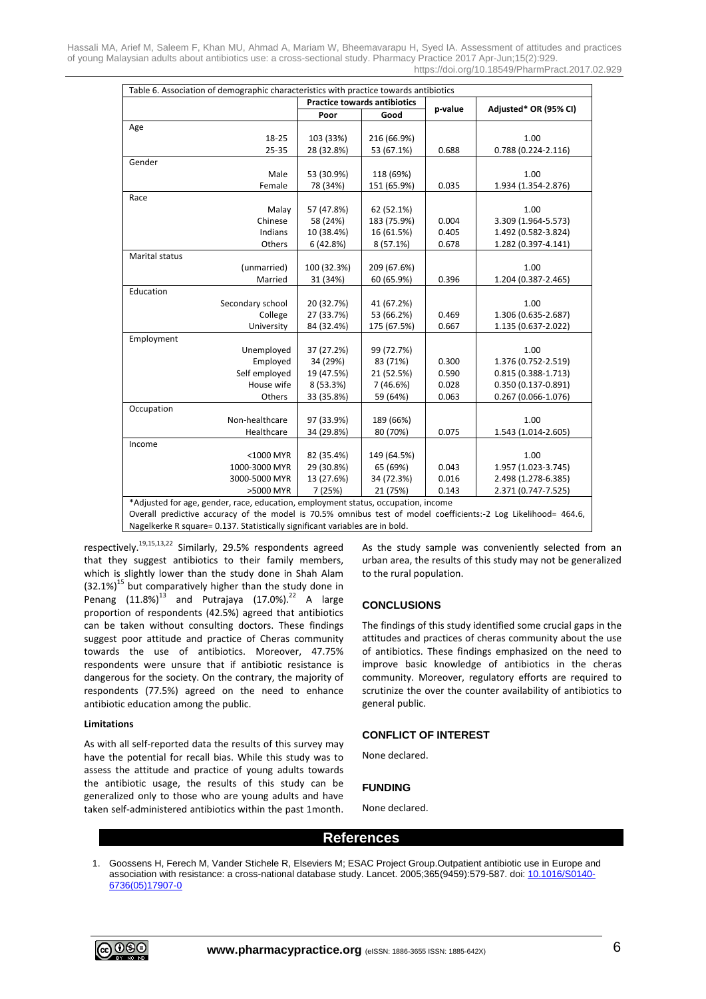Hassali MA, Arief M, Saleem F, Khan MU, Ahmad A, Mariam W, Bheemavarapu H, Syed IA. Assessment of attitudes and practices of young Malaysian adults about antibiotics use: a cross-sectional study. Pharmacy Practice 2017 Apr-Jun;15(2):929. https://doi.org/10.18549/PharmPract.2017.02.929

| Table 6. Association of demographic characteristics with practice towards antibiotics                          |                                     |             |         |                        |  |
|----------------------------------------------------------------------------------------------------------------|-------------------------------------|-------------|---------|------------------------|--|
|                                                                                                                | <b>Practice towards antibiotics</b> |             |         |                        |  |
|                                                                                                                | Poor                                | Good        | p-value | Adjusted* OR (95% CI)  |  |
| Age                                                                                                            |                                     |             |         |                        |  |
| 18-25                                                                                                          | 103 (33%)                           | 216 (66.9%) |         | 1.00                   |  |
| 25-35                                                                                                          | 28 (32.8%)                          | 53 (67.1%)  | 0.688   | $0.788(0.224 - 2.116)$ |  |
| Gender                                                                                                         |                                     |             |         |                        |  |
| Male                                                                                                           | 53 (30.9%)                          | 118 (69%)   |         | 1.00                   |  |
| Female                                                                                                         | 78 (34%)                            | 151 (65.9%) | 0.035   | 1.934 (1.354-2.876)    |  |
| Race                                                                                                           |                                     |             |         |                        |  |
| Malay                                                                                                          | 57 (47.8%)                          | 62 (52.1%)  |         | 1.00                   |  |
| Chinese                                                                                                        | 58 (24%)                            | 183 (75.9%) | 0.004   | 3.309 (1.964-5.573)    |  |
| Indians                                                                                                        | 10 (38.4%)                          | 16 (61.5%)  | 0.405   | 1.492 (0.582-3.824)    |  |
| Others                                                                                                         | 6(42.8%)                            | 8 (57.1%)   | 0.678   | 1.282 (0.397-4.141)    |  |
| Marital status                                                                                                 |                                     |             |         |                        |  |
| (unmarried)                                                                                                    | 100 (32.3%)                         | 209 (67.6%) |         | 1.00                   |  |
| Married                                                                                                        | 31 (34%)                            | 60 (65.9%)  | 0.396   | 1.204 (0.387-2.465)    |  |
| Education                                                                                                      |                                     |             |         |                        |  |
| Secondary school                                                                                               | 20 (32.7%)                          | 41 (67.2%)  |         | 1.00                   |  |
| College                                                                                                        | 27 (33.7%)                          | 53 (66.2%)  | 0.469   | 1.306 (0.635-2.687)    |  |
| University                                                                                                     | 84 (32.4%)                          | 175 (67.5%) | 0.667   | 1.135 (0.637-2.022)    |  |
| Employment                                                                                                     |                                     |             |         |                        |  |
| Unemployed                                                                                                     | 37 (27.2%)                          | 99 (72.7%)  |         | 1.00                   |  |
| Employed                                                                                                       | 34 (29%)                            | 83 (71%)    | 0.300   | 1.376 (0.752-2.519)    |  |
| Self employed                                                                                                  | 19 (47.5%)                          | 21 (52.5%)  | 0.590   | $0.815(0.388 - 1.713)$ |  |
| House wife                                                                                                     | 8 (53.3%)                           | 7(46.6%)    | 0.028   | $0.350(0.137 - 0.891)$ |  |
| Others                                                                                                         | 33 (35.8%)                          | 59 (64%)    | 0.063   | 0.267 (0.066-1.076)    |  |
| Occupation                                                                                                     |                                     |             |         |                        |  |
| Non-healthcare                                                                                                 | 97 (33.9%)                          | 189 (66%)   |         | 1.00                   |  |
| Healthcare                                                                                                     | 34 (29.8%)                          | 80 (70%)    | 0.075   | 1.543 (1.014-2.605)    |  |
| Income                                                                                                         |                                     |             |         |                        |  |
| <1000 MYR                                                                                                      | 82 (35.4%)                          | 149 (64.5%) |         | 1.00                   |  |
| 1000-3000 MYR                                                                                                  | 29 (30.8%)                          | 65 (69%)    | 0.043   | 1.957 (1.023-3.745)    |  |
| 3000-5000 MYR                                                                                                  | 13 (27.6%)                          | 34 (72.3%)  | 0.016   | 2.498 (1.278-6.385)    |  |
| >5000 MYR                                                                                                      | 7 (25%)                             | 21 (75%)    | 0.143   | 2.371 (0.747-7.525)    |  |
| *Adjusted for age, gender, race, education, employment status, occupation, income                              |                                     |             |         |                        |  |
| Quarally prodictive accuracy of the model is 70 FV empirize test of model soofficients; 2 Leg Likelihood- 4545 |                                     |             |         |                        |  |

Overall predictive accuracy of the model is 70.5% omnibus test of model coefficients:-2 Log Likelihood= 464.6, Nagelkerke R square= 0.137. Statistically significant variables are in bold.

respectively.<sup>19,15,13,22</sup> Similarly, 29.5% respondents agreed that they suggest antibiotics to their family members, which is slightly lower than the study done in Shah Alam  $(32.1\%)^{15}$  but comparatively higher than the study done in Penang  $(11.8\%)^{13}$  and Putrajaya (17.0%).<sup>22</sup> A large proportion of respondents (42.5%) agreed that antibiotics can be taken without consulting doctors. These findings suggest poor attitude and practice of Cheras community towards the use of antibiotics. Moreover, 47.75% respondents were unsure that if antibiotic resistance is dangerous for the society. On the contrary, the majority of respondents (77.5%) agreed on the need to enhance antibiotic education among the public.

#### **Limitations**

As with all self-reported data the results of this survey may have the potential for recall bias. While this study was to assess the attitude and practice of young adults towards the antibiotic usage, the results of this study can be generalized only to those who are young adults and have taken self-administered antibiotics within the past 1month. As the study sample was conveniently selected from an urban area, the results of this study may not be generalized to the rural population.

# **CONCLUSIONS**

The findings of this study identified some crucial gaps in the attitudes and practices of cheras community about the use of antibiotics. These findings emphasized on the need to improve basic knowledge of antibiotics in the cheras community. Moreover, regulatory efforts are required to scrutinize the over the counter availability of antibiotics to general public.

# **CONFLICT OF INTEREST**

None declared.

#### **FUNDING**

None declared.

# **References**

1. Goossens H, Ferech M, Vander Stichele R, Elseviers M; ESAC Project Group.Outpatient antibiotic use in Europe and association with resistance: a cross-national database study. Lancet. 2005;365(9459):579-587. doi: [10.1016/S0140-](https://doi.org/10.1016/S0140-6736(05)17907-0) [6736\(05\)17907-0](https://doi.org/10.1016/S0140-6736(05)17907-0)